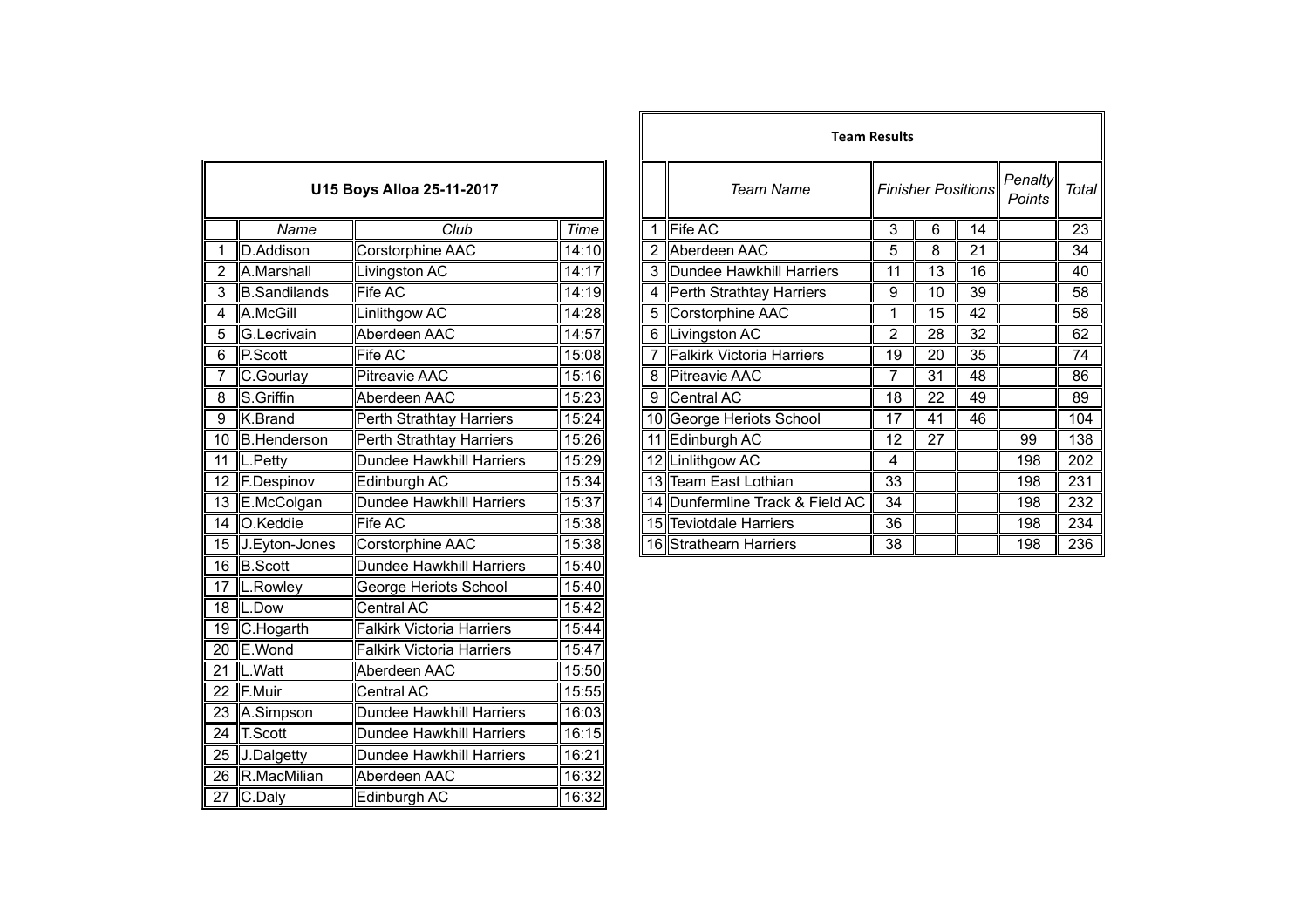| U15 Boys Alloa 25-11-2017 |                     |                                  |                    |  |  |  |
|---------------------------|---------------------|----------------------------------|--------------------|--|--|--|
| Name                      |                     | $\overline{C}$ lub               | Time               |  |  |  |
| 1                         | D.Addison           | Corstorphine AAC                 | $\overline{1}4:10$ |  |  |  |
| $\overline{2}$            | A.Marshall          | Livingston AC                    | 14:17              |  |  |  |
| 3                         | <b>B.Sandilands</b> | Fife AC                          | 14:19              |  |  |  |
| $\overline{4}$            | A.McGill            | Linlithgow AC                    | 14:28              |  |  |  |
| 5                         | G.Lecrivain         | Aberdeen AAC                     | 14:57              |  |  |  |
| 6                         | P.Scott             | Fife AC                          | 15:08              |  |  |  |
| 7                         | C.Gourlay           | <b>Pitreavie AAC</b>             | 15:16              |  |  |  |
| 8                         | S.Griffin           | Aberdeen AAC                     | 15:23              |  |  |  |
| $\overline{9}$            | K.Brand             | Perth Strathtay Harriers         | 15:24              |  |  |  |
| $\overline{10}$           | <b>B.Henderson</b>  | <b>Perth Strathtay Harriers</b>  | 15:26              |  |  |  |
| $\overline{11}$           | L.Petty             | <b>Dundee Hawkhill Harriers</b>  | 15:29              |  |  |  |
| 12                        | F.Despinov          | Edinburgh AC                     | 15:34              |  |  |  |
| 13                        | E.McColgan          | <b>Dundee Hawkhill Harriers</b>  | 15:37              |  |  |  |
| $\overline{14}$           | O.Keddie            | <b>Fife AC</b>                   | 15:38              |  |  |  |
| $\overline{15}$           | J.Eyton-Jones       | Corstorphine AAC                 | 15:38              |  |  |  |
| $\overline{16}$           | <b>B.Scott</b>      | <b>Dundee Hawkhill Harriers</b>  | 15:40              |  |  |  |
| 17                        | L.Rowley            | George Heriots School            | 15:40              |  |  |  |
| 18                        | L.Dow               | Central AC                       | 15:42              |  |  |  |
| 19                        | C.Hogarth           | <b>Falkirk Victoria Harriers</b> | 15:44              |  |  |  |
| $\overline{20}$           | E.Wond              | <b>Falkirk Victoria Harriers</b> | 15:47              |  |  |  |
| $\overline{21}$           | L.Watt              | Aberdeen AAC                     | 15:50              |  |  |  |
| 22                        | F.Muir              | Central AC                       | 15:55              |  |  |  |
|                           | 23 A.Simpson        | Dundee Hawkhill Harriers         | 16:03              |  |  |  |
| $\overline{24}$           | T.Scott             | <b>Dundee Hawkhill Harriers</b>  | 16:15              |  |  |  |
| $\overline{25}$           | <b>J.Dalgetty</b>   | Dundee Hawkhill Harriers         | 16:21              |  |  |  |
| $\overline{26}$           | R.MacMilian         | Aberdeen AAC                     | 16:32              |  |  |  |
| 27                        | C.Daly              | Edinburgh AC                     | 16:32              |  |  |  |

|                |                     |                           |             |  | <b>Team Results</b>             |    |                           |    |                   |       |
|----------------|---------------------|---------------------------|-------------|--|---------------------------------|----|---------------------------|----|-------------------|-------|
|                |                     | U15 Boys Alloa 25-11-2017 |             |  | Team Name                       |    | <b>Finisher Positions</b> |    | Penalty<br>Points | Total |
|                | Name                | Club                      | <b>Time</b> |  | 1 Fife AC                       | 3  | 6                         | 14 |                   | 23    |
|                | D.Addison           | Corstorphine AAC          | 14:10       |  | 2 Aberdeen AAC                  | 5  | 8                         | 21 |                   | 34    |
| $\overline{2}$ | A.Marshall          | Livingston AC             | 14:17       |  | 3 Dundee Hawkhill Harriers      | 11 | 13                        | 16 |                   | 40    |
| 3              | <b>B.Sandilands</b> | <b>Fife AC</b>            | 14:19       |  | 4 Perth Strathtay Harriers      | 9  | 10                        | 39 |                   | 58    |
| 4              | A.McGill            | Linlithgow AC             | 14:28       |  | 5 Corstorphine AAC              |    | 15                        | 42 |                   | 58    |
| 5              | G.Lecrivain         | Aberdeen AAC              | 14:57       |  | 6 Livingston AC                 | 2  | 28                        | 32 |                   | 62    |
| 6              | P.Scott             | Fife AC                   | 15:08       |  | 7 Falkirk Victoria Harriers     | 19 | 20                        | 35 |                   | 74    |
|                | C.Gourlay           | <b>Pitreavie AAC</b>      | 15:16       |  | 8 Pitreavie AAC                 | 7  | 31                        | 48 |                   | 86    |
| $\overline{8}$ | S.Griffin           | Aberdeen AAC              | 15:23       |  | 9 Central AC                    | 18 | 22                        | 49 |                   | 89    |
| 9              | K.Brand             | Perth Strathtay Harriers  | 15:24       |  | 10 George Heriots School        | 17 | 41                        | 46 |                   | 104   |
|                | 10 B.Henderson      | Perth Strathtay Harriers  | 15:26       |  | 11 Edinburgh AC                 | 12 | 27                        |    | 99                | 138   |
|                | 11  L.Petty         | Dundee Hawkhill Harriers  | 15:29       |  | 12 Linlithgow AC                | 4  |                           |    | 198               | 202   |
|                | 12 F.Despinov       | Edinburgh AC              | 15:34       |  | 13 Team East Lothian            | 33 |                           |    | 198               | 231   |
|                | 13 E.McColgan       | Dundee Hawkhill Harriers  | 15:37       |  | 14 Dunfermline Track & Field AC | 34 |                           |    | 198               | 232   |
|                | 14 O.Keddie         | <b>Fife AC</b>            | 15:38       |  | 15 Teviotdale Harriers          | 36 |                           |    | 198               | 234   |
|                | 15 J.Eyton-Jones    | Corstorphine AAC          | 15:38       |  | 16 Strathearn Harriers          | 38 |                           |    | 198               | 236   |
|                |                     |                           |             |  |                                 |    |                           |    |                   |       |